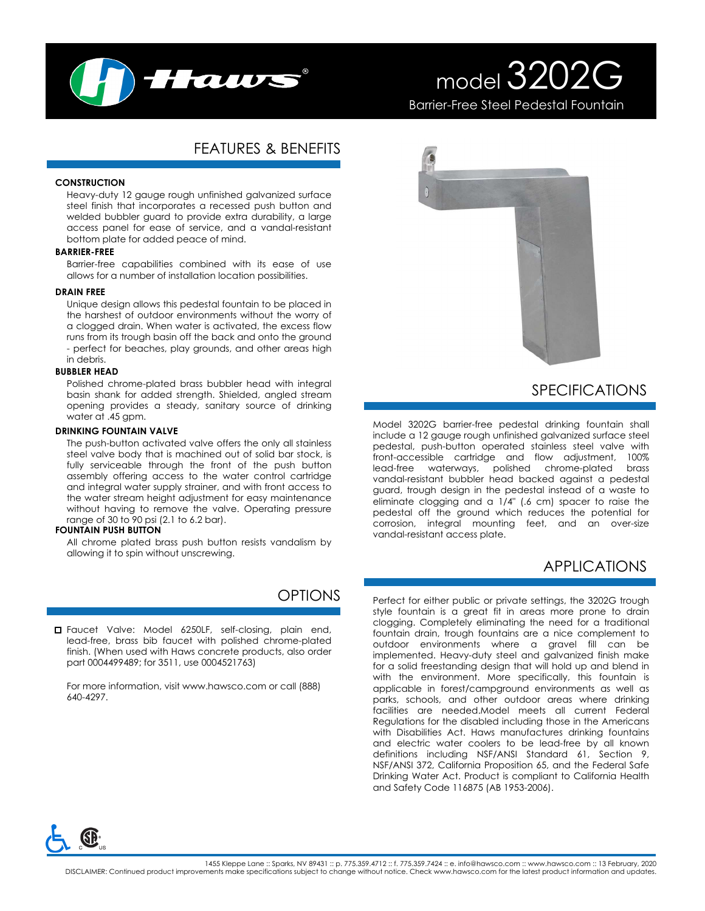

# model 3202G Barrier-Free Steel Pedestal Fountain

# FEATURES & BENEFITS

#### **CONSTRUCTION**

Heavy-duty 12 gauge rough unfinished galvanized surface steel finish that incorporates a recessed push button and welded bubbler guard to provide extra durability, a large access panel for ease of service, and a vandal-resistant bottom plate for added peace of mind.

#### **BARRIER-FREE**

Barrier-free capabilities combined with its ease of use allows for a number of installation location possibilities.

#### **DRAIN FREE**

Unique design allows this pedestal fountain to be placed in the harshest of outdoor environments without the worry of a clogged drain. When water is activated, the excess flow runs from its trough basin off the back and onto the ground - perfect for beaches, play grounds, and other areas high in debris.

#### **BUBBLER HEAD**

Polished chrome-plated brass bubbler head with integral basin shank for added strength. Shielded, angled stream opening provides a steady, sanitary source of drinking water at .45 gpm.

#### **DRINKING FOUNTAIN VALVE**

The push-button activated valve offers the only all stainless steel valve body that is machined out of solid bar stock, is fully serviceable through the front of the push button assembly offering access to the water control cartridge and integral water supply strainer, and with front access to the water stream height adjustment for easy maintenance without having to remove the valve. Operating pressure range of 30 to 90 psi (2.1 to 6.2 bar).

#### **FOUNTAIN PUSH BUTTON**

All chrome plated brass push button resists vandalism by allowing it to spin without unscrewing.

## OPTIONS

Faucet Valve: Model 6250LF, self-closing, plain end, lead-free, brass bib faucet with polished chrome-plated finish. (When used with Haws concrete products, also order part 0004499489; for 3511, use 0004521763)

For more information, visit www.hawsco.com or call (888) 640-4297.



# SPECIFICATIONS

Model 3202G barrier-free pedestal drinking fountain shall include a 12 gauge rough unfinished galvanized surface steel pedestal, push-button operated stainless steel valve with front-accessible cartridge and flow adjustment, 100% lead-free waterways, polished chrome-plated brass vandal-resistant bubbler head backed against a pedestal guard, trough design in the pedestal instead of a waste to eliminate clogging and a 1/4" (.6 cm) spacer to raise the pedestal off the ground which reduces the potential for corrosion, integral mounting feet, and an over-size vandal-resistant access plate.

## APPLICATIONS

Perfect for either public or private settings, the 3202G trough style fountain is a great fit in areas more prone to drain clogging. Completely eliminating the need for a traditional fountain drain, trough fountains are a nice complement to outdoor environments where a gravel fill can be implemented. Heavy-duty steel and galvanized finish make for a solid freestanding design that will hold up and blend in with the environment. More specifically, this fountain is applicable in forest/campground environments as well as parks, schools, and other outdoor areas where drinking facilities are needed.Model meets all current Federal Regulations for the disabled including those in the Americans with Disabilities Act. Haws manufactures drinking fountains and electric water coolers to be lead-free by all known definitions including NSF/ANSI Standard 61, Section 9, NSF/ANSI 372, California Proposition 65, and the Federal Safe Drinking Water Act. Product is compliant to California Health and Safety Code 116875 (AB 1953-2006).